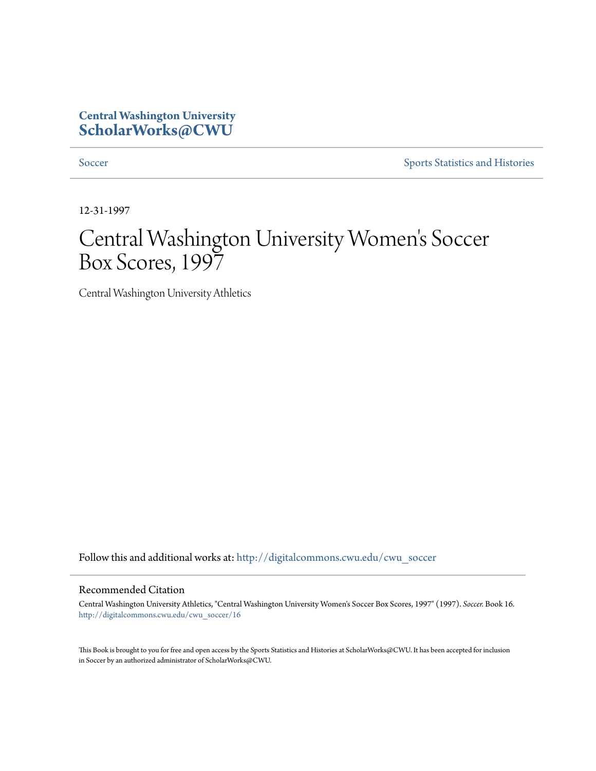## **Central Washington University [ScholarWorks@CWU](http://digitalcommons.cwu.edu?utm_source=digitalcommons.cwu.edu%2Fcwu_soccer%2F16&utm_medium=PDF&utm_campaign=PDFCoverPages)**

[Soccer](http://digitalcommons.cwu.edu/cwu_soccer?utm_source=digitalcommons.cwu.edu%2Fcwu_soccer%2F16&utm_medium=PDF&utm_campaign=PDFCoverPages) [Sports Statistics and Histories](http://digitalcommons.cwu.edu/cwu_sports_statistics?utm_source=digitalcommons.cwu.edu%2Fcwu_soccer%2F16&utm_medium=PDF&utm_campaign=PDFCoverPages)

12-31-1997

# Central Washington University Women 's Soccer Box Scores, 1997

Central Washington University Athletics

Follow this and additional works at: [http://digitalcommons.cwu.edu/cwu\\_soccer](http://digitalcommons.cwu.edu/cwu_soccer?utm_source=digitalcommons.cwu.edu%2Fcwu_soccer%2F16&utm_medium=PDF&utm_campaign=PDFCoverPages)

### Recommended Citation

Central Washington University Athletics, "Central Washington University Women's Soccer Box Scores, 1997" (1997). *Soccer.* Book 16. [http://digitalcommons.cwu.edu/cwu\\_soccer/16](http://digitalcommons.cwu.edu/cwu_soccer/16?utm_source=digitalcommons.cwu.edu%2Fcwu_soccer%2F16&utm_medium=PDF&utm_campaign=PDFCoverPages)

This Book is brought to you for free and open access by the Sports Statistics and Histories at ScholarWorks@CWU. It has been accepted for inclusion in Soccer by an authorized administrator of ScholarWorks@CWU.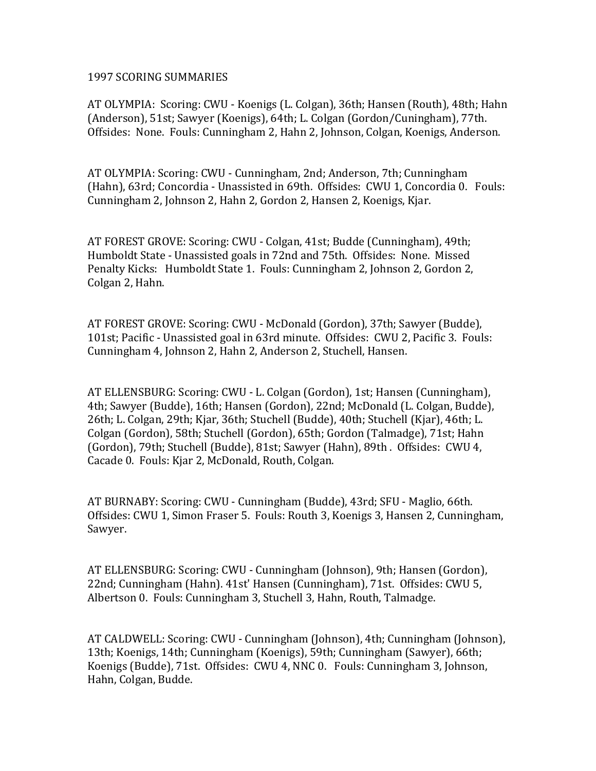### 1997 SCORING SUMMARIES

AT OLYMPIA: Scoring: CWU - Koenigs (L. Colgan), 36th; Hansen (Routh), 48th; Hahn (Anderson), 51st; Sawyer (Koenigs), 64th; L. Colgan (Gordon/Cuningham), 77th. Offsides: None. Fouls: Cunningham 2, Hahn 2, Johnson, Colgan, Koenigs, Anderson.

AT OLYMPIA: Scoring: CWU - Cunningham, 2nd; Anderson, 7th; Cunningham (Hahn), 63rd; Concordia - Unassisted in 69th. Offsides: CWU 1, Concordia 0. Fouls: Cunningham 2, Johnson 2, Hahn 2, Gordon 2, Hansen 2, Koenigs, Kjar.

AT FOREST GROVE: Scoring: CWU - Colgan, 41st; Budde (Cunningham), 49th; Humboldt State - Unassisted goals in 72nd and 75th. Offsides: None. Missed Penalty Kicks: Humboldt State 1. Fouls: Cunningham 2. Johnson 2. Gordon 2. Colgan 2, Hahn.

AT FOREST GROVE: Scoring: CWU - McDonald (Gordon), 37th; Sawyer (Budde), 101st; Pacific - Unassisted goal in 63rd minute. Offsides: CWU 2, Pacific 3. Fouls: Cunningham 4, Johnson 2, Hahn 2, Anderson 2, Stuchell, Hansen.

AT ELLENSBURG: Scoring: CWU - L. Colgan (Gordon), 1st; Hansen (Cunningham), 4th; Sawyer (Budde), 16th; Hansen (Gordon), 22nd; McDonald (L. Colgan, Budde), 26th; L. Colgan, 29th; Kjar, 36th; Stuchell (Budde), 40th; Stuchell (Kjar), 46th; L. Colgan (Gordon), 58th; Stuchell (Gordon), 65th; Gordon (Talmadge), 71st; Hahn (Gordon), 79th; Stuchell (Budde), 81st; Sawyer (Hahn), 89th . Offsides: CWU 4, Cacade 0. Fouls: Kjar 2, McDonald, Routh, Colgan.

AT BURNABY: Scoring: CWU - Cunningham (Budde), 43rd; SFU - Maglio, 66th. Offsides: CWU 1, Simon Fraser 5. Fouls: Routh 3, Koenigs 3, Hansen 2, Cunningham, Sawyer.

AT ELLENSBURG: Scoring: CWU - Cunningham (Johnson), 9th; Hansen (Gordon), 22nd; Cunningham (Hahn). 41st' Hansen (Cunningham), 71st. Offsides: CWU 5, Albertson 0. Fouls: Cunningham 3, Stuchell 3, Hahn, Routh, Talmadge.

AT CALDWELL: Scoring: CWU - Cunningham (Johnson), 4th; Cunningham (Johnson), 13th; Koenigs, 14th; Cunningham (Koenigs), 59th; Cunningham (Sawyer), 66th; Koenigs (Budde), 71st. Offsides: CWU 4, NNC 0. Fouls: Cunningham 3, Johnson, Hahn, Colgan, Budde.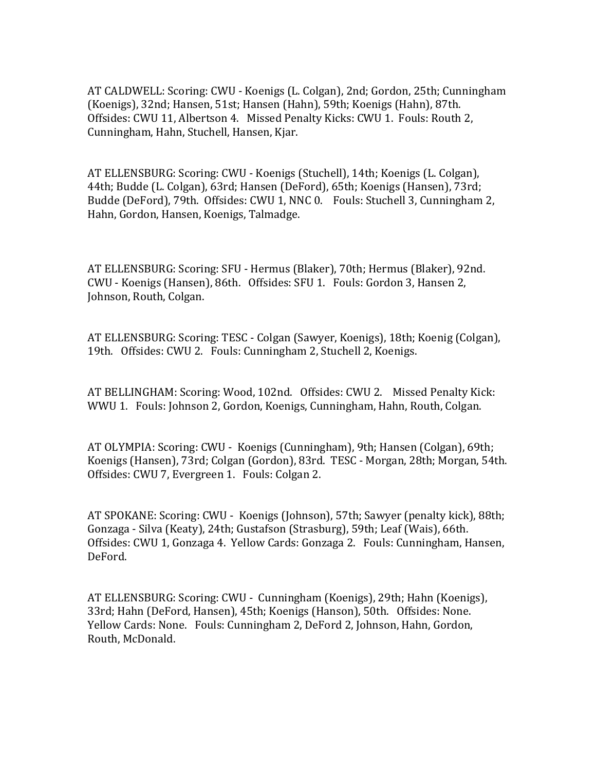AT CALDWELL: Scoring: CWU - Koenigs (L. Colgan), 2nd; Gordon, 25th; Cunningham (Koenigs), 32nd; Hansen, 51st; Hansen (Hahn), 59th; Koenigs (Hahn), 87th. Offsides: CWU 11, Albertson 4. Missed Penalty Kicks: CWU 1. Fouls: Routh 2. Cunningham, Hahn, Stuchell, Hansen, Kjar.

AT ELLENSBURG: Scoring: CWU - Koenigs (Stuchell), 14th; Koenigs (L. Colgan), 44th; Budde (L. Colgan), 63rd; Hansen (DeFord), 65th; Koenigs (Hansen), 73rd; Budde (DeFord), 79th. Offsides: CWU 1, NNC 0. Fouls: Stuchell 3, Cunningham 2, Hahn, Gordon, Hansen, Koenigs, Talmadge.

AT ELLENSBURG: Scoring: SFU - Hermus (Blaker), 70th; Hermus (Blaker), 92nd. CWU - Koenigs (Hansen), 86th. Offsides: SFU 1. Fouls: Gordon 3, Hansen 2, Johnson, Routh, Colgan.

AT ELLENSBURG: Scoring: TESC - Colgan (Sawyer, Koenigs), 18th; Koenig (Colgan), 19th. Offsides: CWU 2. Fouls: Cunningham 2, Stuchell 2, Koenigs.

AT BELLINGHAM: Scoring: Wood, 102nd. Offsides: CWU 2. Missed Penalty Kick: WWU 1. Fouls: Johnson 2, Gordon, Koenigs, Cunningham, Hahn, Routh, Colgan.

AT OLYMPIA: Scoring: CWU - Koenigs (Cunningham), 9th; Hansen (Colgan), 69th; Koenigs (Hansen), 73rd; Colgan (Gordon), 83rd. TESC - Morgan, 28th; Morgan, 54th. Offsides: CWU 7, Evergreen 1. Fouls: Colgan 2.

AT SPOKANE: Scoring: CWU - Koenigs (Johnson), 57th; Sawyer (penalty kick), 88th; Gonzaga - Silva (Keaty), 24th; Gustafson (Strasburg), 59th; Leaf (Wais), 66th. Offsides: CWU 1, Gonzaga 4. Yellow Cards: Gonzaga 2. Fouls: Cunningham, Hansen, DeFord.

AT ELLENSBURG: Scoring: CWU - Cunningham (Koenigs), 29th; Hahn (Koenigs), 33rd; Hahn (DeFord, Hansen), 45th; Koenigs (Hanson), 50th. Offsides: None. Yellow Cards: None. Fouls: Cunningham 2, DeFord 2, Johnson, Hahn, Gordon, Routh, McDonald.